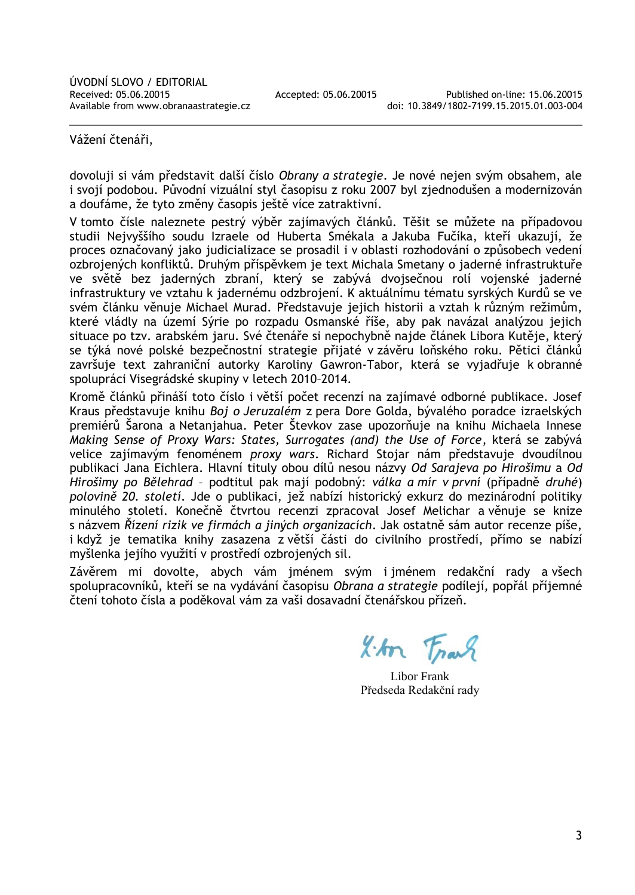Vážení čtenáři,

dovoluji si vám představit další číslo *Obrany a strategie*. Je nové nejen svým obsahem, ale i svojí podobou. Původní vizuální styl časopisu z roku 2007 byl zjednodušen a modernizován a doufáme, že tyto změny časopis ještě více zatraktivní.

V tomto čísle naleznete pestrý výběr zajímavých článků. Těšit se můžete na případovou studii Nejvyššího soudu Izraele od Huberta Smékala a Jakuba Fučíka, kteří ukazují, že proces označovaný jako judicializace se prosadil i v oblasti rozhodování o způsobech vedení ozbrojených konfliktů. Druhým příspěvkem je text Michala Smetany o jaderné infrastruktuře ve světě bez jaderných zbraní, který se zabývá dvojsečnou rolí vojenské jaderné infrastruktury ve vztahu k jadernému odzbrojení. K aktuálnímu tématu syrských Kurdů se ve svém článku věnuje Michael Murad. Představuje jejich historii a vztah k různým režimům, které vládly na území Sýrie po rozpadu Osmanské říše, aby pak navázal analýzou jejich situace po tzv. arabském jaru. Své čtenáře si nepochybně najde článek Libora Kutěje, který se týká nové polské bezpečnostní strategie přijaté v závěru loňského roku. Pětici článků završuje text zahraniční autorky Karoliny Gawron-Tabor, která se vyjadřuje k obranné spolupráci Visegrádské skupiny v letech 2010–2014.

Kromě článků přináší toto číslo i větší počet recenzí na zajímavé odborné publikace. Josef Kraus představuje knihu *Boj o Jeruzalém* z pera Dore Golda, bývalého poradce izraelských premiérů Šarona a Netanjahua. Peter Števkov zase upozorňuje na knihu Michaela Innese *Making Sense of Proxy Wars: States, Surrogates (and) the Use of Force*, která se zabývá velice zajímavým fenoménem *proxy wars*. Richard Stojar nám představuje dvoudílnou publikaci Jana Eichlera. Hlavní tituly obou dílů nesou názvy *Od Sarajeva po Hirošimu* a *Od Hirošimy po Bělehrad* – podtitul pak mají podobný: *válka a mír v první* (případně *druhé*) *polovině 20. století*. Jde o publikaci, jež nabízí historický exkurz do mezinárodní politiky minulého století. Konečně čtvrtou recenzi zpracoval Josef Melichar a věnuje se knize s názvem *Řízení rizik ve firmách a jiných organizacích*. Jak ostatně sám autor recenze píše, i když je tematika knihy zasazena z větší části do civilního prostředí, přímo se nabízí myšlenka jejího využití v prostředí ozbrojených sil.

Závěrem mi dovolte, abych vám jménem svým i jménem redakční rady a všech spolupracovníků, kteří se na vydávání časopisu *Obrana a strategie* podílejí, popřál příjemné čtení tohoto čísla a poděkoval vám za vaši dosavadní čtenářskou přízeň.

I.An Frank

Libor Frank Předseda Redakční rady